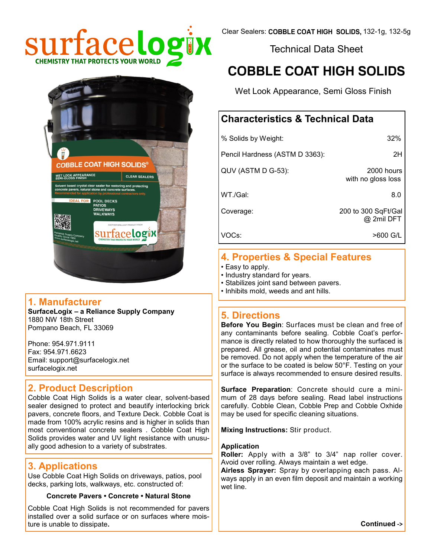





# **4. Properties & Special Features**

- Easy to apply.
- Industry standard for years.
- Stabilizes joint sand between pavers.
- Inhibits mold, weeds and ant hills.

# **5. Directions**

**Before You Begin**: Surfaces must be clean and free of any contaminants before sealing. Cobble Coat's performance is directly related to how thoroughly the surfaced is prepared. All grease, oil and potential contaminates must be removed. Do not apply when the temperature of the air or the surface to be coated is below 50°F. Testing on your surface is always recommended to ensure desired results.

**Surface Preparation**: Concrete should cure a minimum of 28 days before sealing. Read label instructions carefully. Cobble Clean, Cobble Prep and Cobble Oxhide may be used for specific cleaning situations.

**Mixing Instructions:** Stir product.

#### **Application**

**Roller:** Apply with a 3/8" to 3/4" nap roller cover. Avoid over rolling. Always maintain a wet edge.

**Airless Sprayer:** Spray by overlapping each pass. Always apply in an even film deposit and maintain a working wet line.

1880 NW 18th Street Pompano Beach, FL 33069

**1. Manufacturer** 

Phone: 954.971.9111 Fax: 954.971.6623 Email: support@surfacelogix.net surfacelogix.net

**SurfaceLogix – a Reliance Supply Company**

**COBBLE COAT HIGH SOLIDS®** 

ed crystal clear sealer for restoring and protecting<br>wers, natural stone and concrete surfaces. **POOL DECKS PATIOS** 

<sup>ummmmmmmmmmmm</sup>

surfacelogix

**CLEAR SEALERS** 

WET LOOK APPEARANCE

# **2. Product Description**

Cobble Coat High Solids is a water clear, solvent-based sealer designed to protect and beautify interlocking brick pavers, concrete floors, and Texture Deck. Cobble Coat is made from 100% acrylic resins and is higher in solids than most conventional concrete sealers . Cobble Coat High Solids provides water and UV light resistance with unusually good adhesion to a variety of substrates.

# **3. Applications**

Use Cobble Coat High Solids on driveways, patios, pool decks, parking lots, walkways, etc. constructed of:

# **Concrete Pavers • Concrete • Natural Stone**

Cobble Coat High Solids is not recommended for pavers installed over a solid surface or on surfaces where moisture is unable to dissipate**.**

**Continued ->**

Clear Sealers: COBBLE COAT HIGH SOLIDS, 132-1g, 132-5g

Technical Data Sheet

# **COBBLE COAT HIGH SOLIDS**

Wet Look Appearance, Semi Gloss Finish